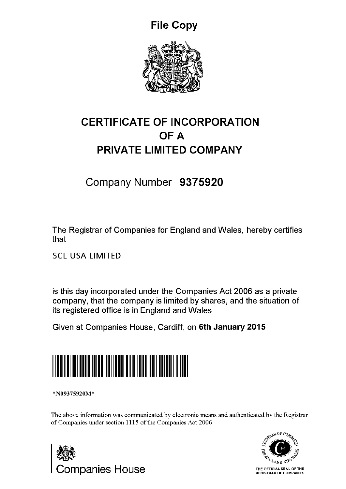File Copy



## CERTIFICATE OF INCORPORATION OF A PRIVATE LIMITED COMPANY

Company Number 9375920

The Registrar of Companies for England and Wales, hereby certifies that

SCL USA LIMITED

is this day incorporated under the Companies Act 2006 as a private company, that the company is limited by shares, and the situation of its registered office is in England and Wales

Given at Companies House, Cardiff, on 6th January 2015



\*N09375920M\*

The above information was communicated by electronic means and authenticated by the Registrar of Companies under section 1115 of the Companies Act 2006



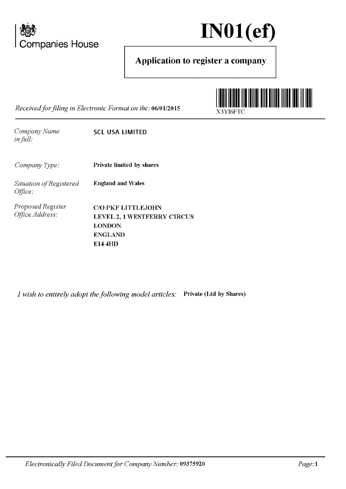

*Office Address:* 



## Application to register a company

*Received for filing in Electronic Fonnat on the:* 06/0112015



*Company Name in full.· Company Type: Situation of Registered Office: Proposed Register*  SCL USA LIMITED Private limited by shares England and Wales

C/0 PKF LITTLEJOHN LEVEL 2, 1 WESTFERRY CIRCUS LONDON ENGLAND E14 4HD

*I wish to entirely adopt the following model articles:* Private (Ltd by Shares)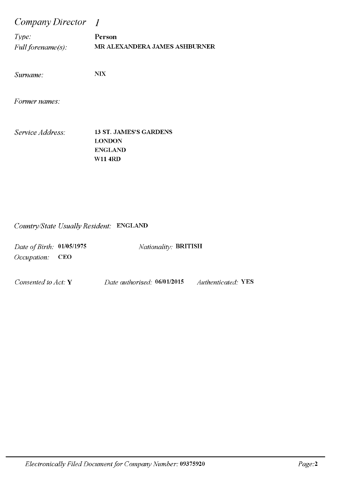*Company Director I* 

*Type:* Person *Full forename(s):* MR ALEXANDERA JAMES ASHBURNER

*Surname:* NIX

*Former names:* 

*Service Address:* 13 ST. JAMES'S GARDENS LONDON ENGLAND W114RD

#### *Country/State Usually Resident:* ENGLAND

| Date of Birth: 01/05/1975 | <i>Nationality: BRITISH</i> |
|---------------------------|-----------------------------|
| $Occupation:$ CEO         |                             |
|                           |                             |

*Consented to Act:* Y *Date authorised:* 06/0112015 *Authenticated:* YES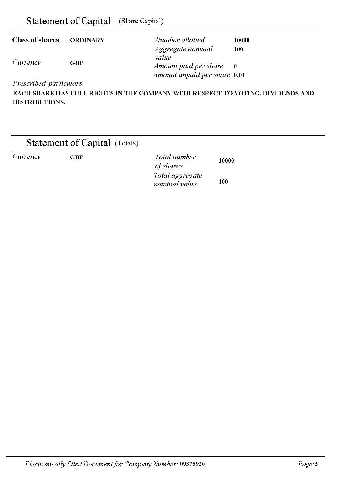| Statement of Capital | (Share Capital) |
|----------------------|-----------------|
|----------------------|-----------------|

| <b>Class of shares</b> | <b>ORDINARY</b> | Number allotted              | 10000 |
|------------------------|-----------------|------------------------------|-------|
|                        |                 | Aggregate nominal<br>value   | 100   |
| Currency               | GBP             | Amount paid per share        | - 0   |
|                        |                 | Amount unpaid per share 0.01 |       |

*Prescribed particulars* 

EACH SHARE HAS FULL RIGHTS IN THE COMPANY WITH RESPECT TO VOTING, DIVIDENDS AND DISTRIBUTIONS.

|          |            | <b>Statement of Capital</b> (Totals) |                                  |       |  |
|----------|------------|--------------------------------------|----------------------------------|-------|--|
| Currency | <b>GBP</b> |                                      | Total number<br>of shares        | 10000 |  |
|          |            |                                      | Total aggregate<br>nominal value | 100   |  |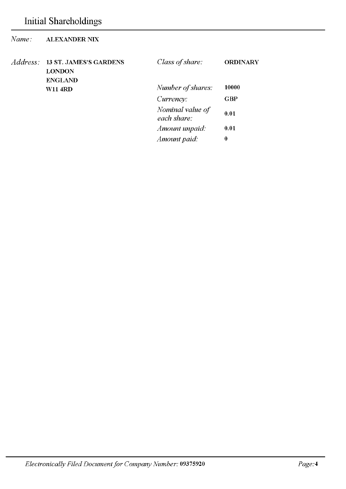| Name:    | <b>ALEXANDER NIX</b>                                             |                                 |                 |
|----------|------------------------------------------------------------------|---------------------------------|-----------------|
| Address: | <b>13 ST. JAMES'S GARDENS</b><br><b>LONDON</b><br><b>ENGLAND</b> | Class of share:                 | <b>ORDINARY</b> |
|          | <b>W11 4RD</b>                                                   | Number of shares:               | 10000           |
|          |                                                                  | Currency:                       | <b>GBP</b>      |
|          |                                                                  | Nominal value of<br>each share: | 0.01            |
|          |                                                                  | Amount unpaid:                  | 0.01            |
|          |                                                                  | Amount paid.                    | 0               |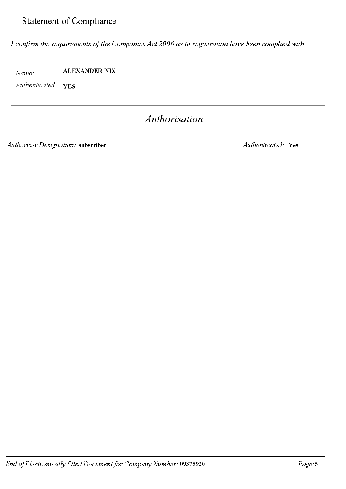*I confirm the requirements of the Companies Act 2006 as to registration have been complied with.* 

*Name:* ALEXANDER NIX

*Authenticated:* YES

## *Authorisation*

*Authoriser Designation:* subscriber *Authenticated:* Yes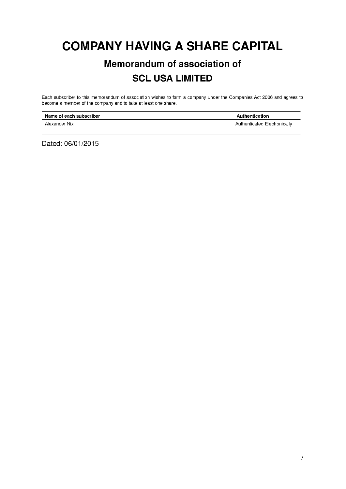## **COMPANY HAVING A SHARE CAPITAL**

## **Memorandum of association of SCL USA LIMITED**

Each subscriber to this memorandum of association wishes to form a company under the Companies Act 2006 and agrees to become a member of the company and to take at least one share.

| Name of each subscriber | Authentication               |
|-------------------------|------------------------------|
| Alexander Nix           | Authenticated Electronically |

Dated: 06/01/2015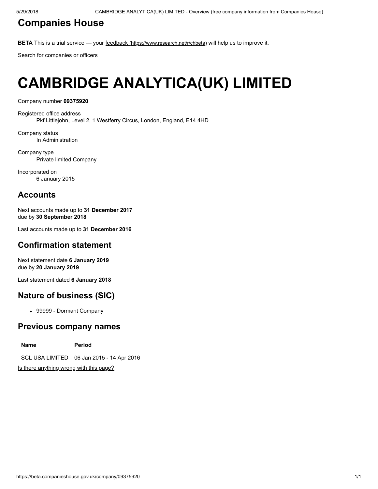## [Companies](https://beta.companieshouse.gov.uk/) House

BETA This is a trial service — your feedback [\(https://www.research.net/r/chbeta\)](https://www.research.net/r/chbeta) will help us to improve it.

Search for companies or officers

# CAMBRIDGE ANALYTICA(UK) LIMITED

Company number 09375920

Registered office address Pkf Littlejohn, Level 2, 1 Westferry Circus, London, England, E14 4HD

Company status In Administration

Company type Private limited Company

Incorporated on 6 January 2015

### **Accounts**

Next accounts made up to 31 December 2017 due by 30 September 2018

Last accounts made up to 31 December 2016

#### Confirmation statement

Next statement date 6 January 2019 due by 20 January 2019

Last statement dated 6 January 2018

### Nature of business (SIC)

• 99999 - Dormant Company

#### Previous company names

Name **Period** SCL USA LIMITED 06 Jan 2015 - 14 Apr 2016

[Is there anything wrong with this page?](javascript:void(0);)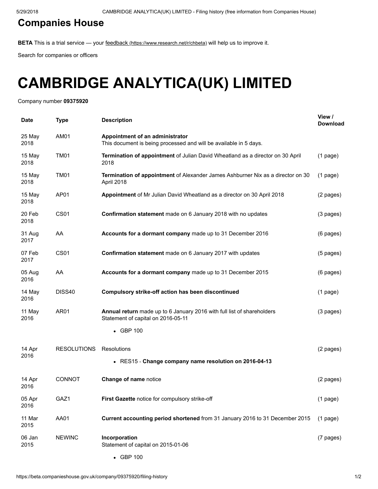## [Companies](https://beta.companieshouse.gov.uk/) House

BETA This is a trial service — your feedback [\(https://www.research.net/r/chbeta\)](https://www.research.net/r/chbeta) will help us to improve it.

Search for companies or officers

# CAMBRIDGE ANALYTICA(UK) LIMITED

Company number 09375920

| Date           | <b>Type</b>        | <b>Description</b>                                                                                           | View /<br><b>Download</b> |
|----------------|--------------------|--------------------------------------------------------------------------------------------------------------|---------------------------|
| 25 May<br>2018 | AM01               | Appointment of an administrator<br>This document is being processed and will be available in 5 days.         |                           |
| 15 May<br>2018 | <b>TM01</b>        | Termination of appointment of Julian David Wheatland as a director on 30 April<br>2018                       | $(1$ page)                |
| 15 May<br>2018 | <b>TM01</b>        | Termination of appointment of Alexander James Ashburner Nix as a director on 30<br>April 2018                | $(1$ page)                |
| 15 May<br>2018 | AP01               | Appointment of Mr Julian David Wheatland as a director on 30 April 2018                                      | (2 pages)                 |
| 20 Feb<br>2018 | <b>CS01</b>        | Confirmation statement made on 6 January 2018 with no updates                                                | (3 pages)                 |
| 31 Aug<br>2017 | AA                 | Accounts for a dormant company made up to 31 December 2016                                                   | (6 pages)                 |
| 07 Feb<br>2017 | <b>CS01</b>        | Confirmation statement made on 6 January 2017 with updates                                                   | (5 pages)                 |
| 05 Aug<br>2016 | AA                 | Accounts for a dormant company made up to 31 December 2015                                                   | (6 pages)                 |
| 14 May<br>2016 | DISS40             | Compulsory strike-off action has been discontinued                                                           | $(1$ page)                |
| 11 May<br>2016 | AR01               | Annual return made up to 6 January 2016 with full list of shareholders<br>Statement of capital on 2016-05-11 | (3 pages)                 |
|                |                    | • GBP 100                                                                                                    |                           |
| 14 Apr         | <b>RESOLUTIONS</b> | Resolutions                                                                                                  | (2 pages)                 |
| 2016           |                    | • RES15 - Change company name resolution on 2016-04-13                                                       |                           |
| 14 Apr<br>2016 | <b>CONNOT</b>      | Change of name notice                                                                                        | (2 pages)                 |
| 05 Apr<br>2016 | GAZ1               | First Gazette notice for compulsory strike-off                                                               | $(1$ page)                |
| 11 Mar<br>2015 | AA01               | Current accounting period shortened from 31 January 2016 to 31 December 2015                                 | $(1$ page)                |
| 06 Jan<br>2015 | <b>NEWINC</b>      | Incorporation<br>Statement of capital on 2015-01-06                                                          | (7 pages)                 |
|                |                    | • GBP 100                                                                                                    |                           |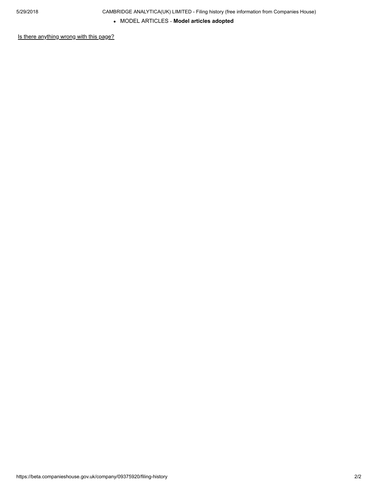MODEL ARTICLES ‐ Model articles adopted

[Is there anything wrong with this page?](javascript:void(0);)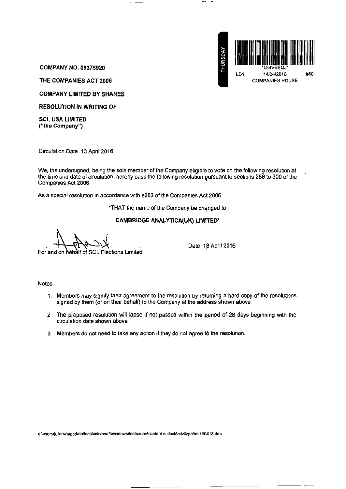

COMPANY NO. 09375920

THE COMPANIES ACT 2006

COMPANY LIMITED BY SHARES

RESOLUTION IN WRITING OF

SCL USA LIMITED ("the Company")

Circulation Date 13 April 2016

We, the undersigned, being the sole member of the Company eligible to vote on the following resolution at the time and date of circulation, hereby pass the following resolution pursuant to sections 288 to 300 of the Compames Act 2006 '

As a special resolution in accordance with s283 of the Companies Act 2006

"THAT the name of the Company be changed to

#### CAMBRIDGE ANALYTICA(UK) LIMITED\*

alf of SCL Elections Limited For and

Date 13 April 2016

Notes

- 1. Members may signify their agreement to the resolution by returning a hard copy of the resolutions signed by them (or on their behalf) to the Company at the address shown above
- 2 The proposed resolution will lapse if not passed within the period of 28 days beginning with the Circulation date shown above
- 3 Members do not need to take any action if they do not agree to the resolution.

**c: \users\Jullanw\appdata\local\m!crosofl\wmdows\lnetcache\content outlook\mlv0zpct\mt160413 doc**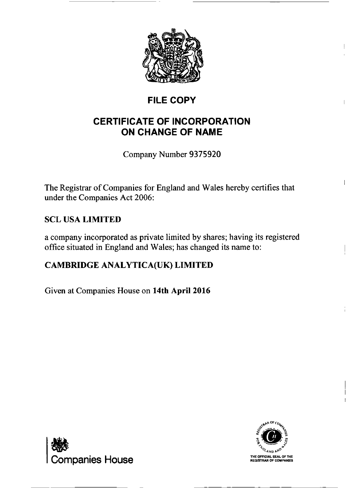

## FILE COPY

## CERTIFICATE OF INCORPORATION ON CHANGE OF NAME

Company Number 9375920

The Registrar of Companies for England and Wales hereby certifies that under the Companies Act 2006:

## SCL USA LIMITED

a company incorporated as private limited by shares; having its registered office situated in England and Wales; has changed its name to:

## CAMBRIDGE ANALYTICA(UK) LIMITED

Given at Companies House on 14th April 2016



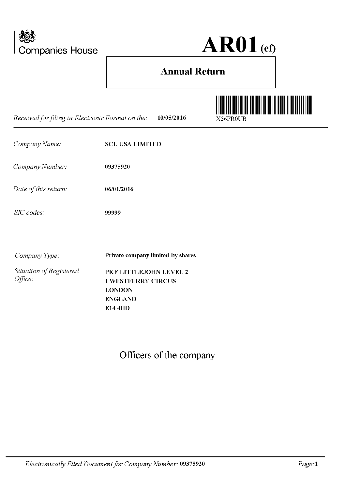

 $AR01$  (ef)

## **Annual Return**

| Received for filing in Electronic Format on the: | 10/05/2016                                                                                        | X56PR0UB |
|--------------------------------------------------|---------------------------------------------------------------------------------------------------|----------|
| Company Name:                                    | <b>SCL USA LIMITED</b>                                                                            |          |
| Company Number:                                  | 09375920                                                                                          |          |
| Date of this return:                             | 06/01/2016                                                                                        |          |
| SIC codes:                                       | 99999                                                                                             |          |
| Company Type:                                    | Private company limited by shares                                                                 |          |
| Situation of Registered<br>Office:               | PKF LITTLEJOHN LEVEL 2<br><b>1 WESTFERRY CIRCUS</b><br><b>LONDON</b><br><b>ENGLAND</b><br>E14 4HD |          |

Officers of the company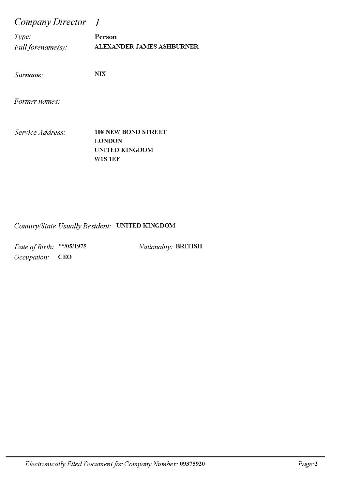*Company Director I* 

*Type:* Person *Full forename(s):* ALEXANDER JAMES ASHBURNER

*Surname:* NIX

*Former names:* 

*Service Address:* 108 NEW BOND STREET LONDON UNITED KINGDOM W1S 1EF

#### *Country/State Usually Resident:* UNITED KINGDOM

*Date of Birth:* \*\*/05/1975 *Occupation:* CEO

*Nationality:* BRITISH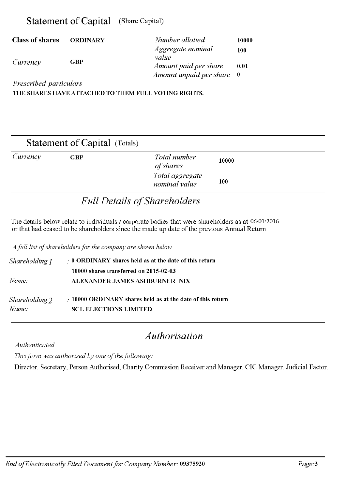| Statement of Capital (Share Capital) |                 |                                      |
|--------------------------------------|-----------------|--------------------------------------|
| <b>Class of shares</b>               | <b>ORDINARY</b> | Number allotted<br>Aggregate nominal |
| Currency                             | GBP             | value<br>Amount paid per share       |

*Prescribed particulars* 

THE SHARES HAVE ATTACHED TO THEM FULL VOTING RIGHTS.

|          |     | <b>Statement of Capital</b> (Totals) |       |  |
|----------|-----|--------------------------------------|-------|--|
| Currency | GBP | Total number<br>of shares            | 10000 |  |
|          |     | Total aggregate<br>nominal value     | 100   |  |

*Amount unpaid per share* 

10000 100

0.01 0

## *Full Details of Shareholders*

The details below relate to individuals / corporate bodies that were shareholders as at 06/01/2016 or that had ceased to be shareholders since the made up date of the previous Annual Return

*Afulllist of shareholders for the company are shown below* 

| Shareholding J | $\therefore$ 0 ORDINARY shares held as at the date of this return |
|----------------|-------------------------------------------------------------------|
|                | 10000 shares transferred on 2015-02-03                            |
| Name:          | ALEXANDER JAMES ASHBURNER NIX                                     |
| Shareholding 2 | $\cdot$ 10000 ORDINARY shares held as at the date of this return  |
| Name:          | <b>SCL ELECTIONS LIMITED</b>                                      |

## *Authorisation*

*Authenticated* 

*This form was authorised by one of the following:* 

Director, Secretary, Person Authorised, Charity Commission Receiver and Manager, CIC Manager, Judicial Factor.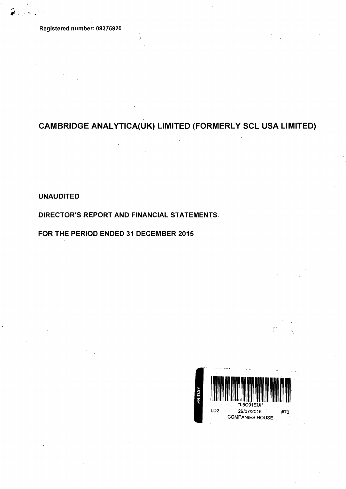Registered riumber: 09375920

## CAMBRIDGE ANAL YTICA(UK) LIMITED (FORMERLY SCL USA LIMITED)

UNAUDITED

DIRECTOR'S REPORT AND FINANCIAL STATEMENTS.

FOR THE PERIOD ENDED 31 DECEMBER 2015

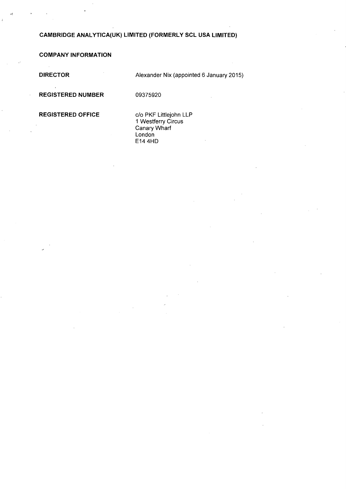### **CAMBRIDGE ANAL YTICA(UK) LIMITED (FORMERLY SCL USA LIMITED)**

**COMPANY INFORMATION** 

**DIRECTOR** 

Alexander Nix (appointed 6 January 2015)

**REGISTERED NUMBER** 

09375920

**REGISTERED OFFICE** 

c/o PKF Littlejohn LLP 1 Westferry Circus Canary Wharf London E14 4HD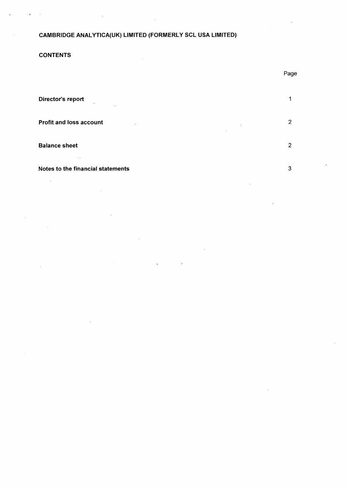#### CAMBRIDGE ANAL YTICA(UK) LIMITED (FORMERLY SCL USA LIMITED)

#### **CONTENTS**

| Director's report<br>$\sim$<br>$\sim$               |                          |
|-----------------------------------------------------|--------------------------|
| <b>Profit and loss account</b><br>$\cdot$<br>$\sim$ | $\overline{2}$<br>$\sim$ |
| <b>Balance sheet</b>                                | $\mathcal{P}$            |
| $\sim$ $\sim$                                       |                          |

#### Notes to the financial statements 3

l,  $\sim$ 

Page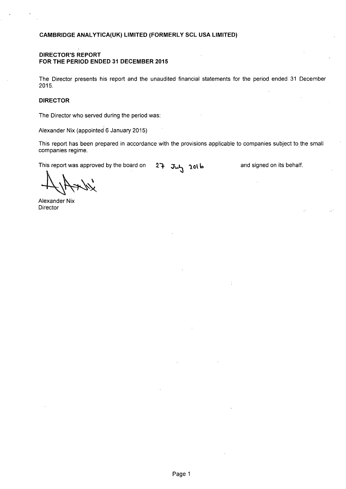#### **DIRECTOR'S REPORT FOR THE PERIOD ENDED 31 DECEMBER 2015**

The Director presents his report and the unaudited financial statements for the period ended 31 December 2015.

#### **DIRECTOR**

The Director who served during the period was:

Alexander Nix (appointed 6 January 2015)

This report has been prepared in accordance with the provisions applicable to companies subject to the small companies regime.

This report was approved by the board on 27 July 2016

and signed on its behalf.

 $#$ 

Alexander Nix **Director**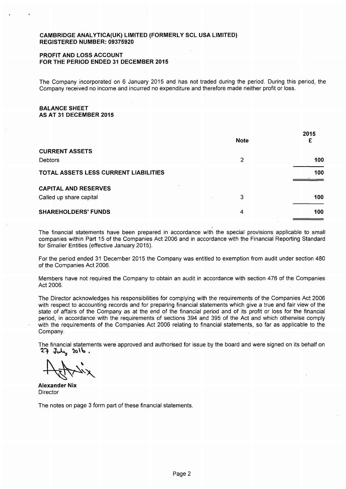#### **CAMBRIDGE ANAL YTICA(UK) LIMITED (FORMERLY SCL USA LIMITED) REGISTERED NUMBER: 09375920**

#### **PROFIT AND LOSS ACCOUNT FOR THE PERIOD ENDED 31 DECEMBER 2015**

The Company incorporated on 6 January 2015 and has not traded during the period. During this period, the Company received no income and incurred no expenditure and therefore made neither profit or loss.

#### **BALANCE SHEET AS AT 31 DECEMBER 2015**

|                                       | <b>Note</b> | 2015<br>£ |
|---------------------------------------|-------------|-----------|
| <b>CURRENT ASSETS</b>                 |             |           |
| <b>Debtors</b>                        | 2           | 100       |
| TOTAL ASSETS LESS CURRENT LIABILITIES |             | 100       |
| <b>CAPITAL AND RESERVES</b>           |             |           |
| Called up share capital               | 3           | 100       |
| <b>SHAREHOLDERS' FUNDS</b>            | 4           | 100       |

The financial statements have been prepared in accordance with the special provisions applicable to small companies within Part 15 of the Companies Act 2006 and in accordance with the Financial Reporting Standard for Smaller Entities (effective January 2015).

For the period ended 31 December 2015 the Company was entitled to exemption from audit under section 480 of the Companies Act 2006.

Members have not required the Company to obtain an audit in accordance with section 476 of the Companies Act 2006.

The Director acknowledges his responsibilities for complying with the requirements of the Companies Act 2006 with respect to accounting records and for preparing financial statements which give a true and fair view of the state of affairs of the Company as at the end of the financial period and of its profit or loss for the financial period, in accordance with the requirements of sections 394 and 395 of the Act and which otherwise comply with the requirements of the Companies Act 2006 relating to financial statements, so far as applicable to the Company.

The financial statements were approved and authorised for issue by the board and were signed on its behalf on ~1- J~ **'la\'o** '

+ 11/2 mx

**Alexander Nix Director** 

The notes on page 3 form part of these financial statements.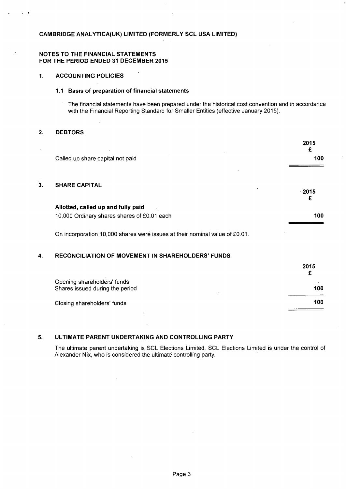#### **CAMBRIDGE ANAL YTICA(UK) LIMITED (FORMERLY SCL USA LIMITED)**

#### **NOTES TO THE FINANCIAL STATEMENTS FOR THE PERIOD ENDED 31 DECEMBER 2015**

#### **1. ACCOUNTING POLICIES**

#### **1.1 Basis of preparation of financial statements**

The financial statements have been prepared under the historical cost convention and in accordance with the Financial Reporting Standard for Smaller Entities (effective January 2015).

#### **2. DEBTORS**

 $\cdot$  .

|    |                                                                             | 2015<br>£    |
|----|-----------------------------------------------------------------------------|--------------|
|    | Called up share capital not paid                                            | 100          |
|    |                                                                             |              |
| 3. | <b>SHARE CAPITAL</b>                                                        |              |
|    |                                                                             | $-2015$<br>£ |
|    | Allotted, called up and fully paid                                          |              |
|    | 10,000 Ordinary shares shares of £0.01 each                                 | 100          |
|    |                                                                             |              |
|    | On incorporation 10,000 shares were issues at their nominal value of £0.01. |              |

#### **4. RECONCILIATION OF MOVEMENT IN SHAREHOLDERS' FUNDS**

|                                                                | 2015                |
|----------------------------------------------------------------|---------------------|
| Opening shareholders' funds<br>Shares issued during the period | $\mathbf{r}$<br>100 |
| Closing shareholders' funds                                    | 100                 |

#### **5. ULTIMATE PARENT UNDERTAKING AND CONTROLLING PARTY**

The ultimate parent undertaking is SCL Elections Limited. SCL Elections Limited is under the control of Alexander Nix, who is considered the ultimate controlling party.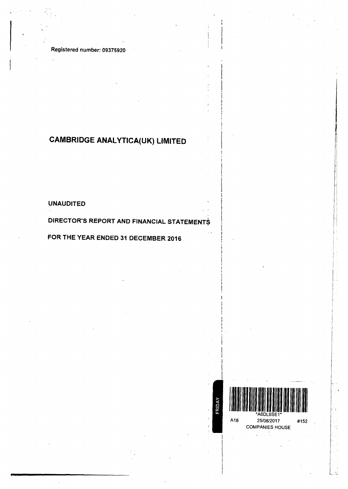Registered number: 09375920

## **CAMBRIDGE ANALYTICA(UK) LIMITED**

UNAUDITED

### DIRECTOR'S REPORT AND FINANCIAL STATEMENTS

### FOR THE YEAR ENDED 31 DECEMBER 2016

\6DL6SE<sup>.</sup> A18 25/08/2017 #152 COMPANIES HOUSE

FRIDAY

rl fl t> I I, ,.I II jl I, f:  $\left| \cdot \right|$  $\left[\cdot\right]$ i'  $\mathbf{i}$  :

i' I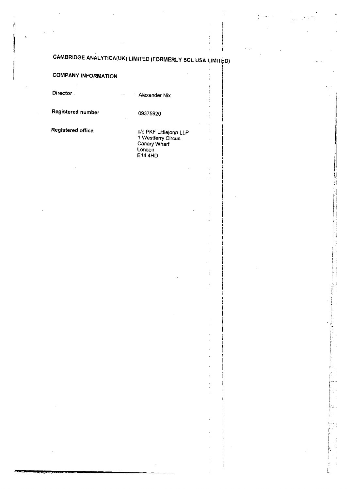## CAMBRIDGE ANALYTICA(UK) LIMITED (FORMERLY SCL USA LIMITED)

| <b>COMPANY INFORMATION</b> |                                                                                          | $\vdots$ |
|----------------------------|------------------------------------------------------------------------------------------|----------|
| Director.                  | Alexander Nix                                                                            |          |
| <b>Registered number</b>   | 09375920                                                                                 |          |
| Registered office          | c/o PKF Littlejohn LLP<br>1 Westferry Circus<br>Canary Wharf<br>London<br><b>E14 4HD</b> |          |
|                            |                                                                                          |          |
|                            |                                                                                          |          |
|                            |                                                                                          |          |
|                            |                                                                                          |          |
|                            |                                                                                          |          |
|                            |                                                                                          | t        |
|                            |                                                                                          |          |
|                            |                                                                                          |          |
|                            |                                                                                          |          |
|                            |                                                                                          |          |

I i  $\mathbf{I}$ l i I I i ! : l I I I  $\mathbf{I}$ I i I I ! I

II

!I

I! tl  $_{\rm H}$ 

 $\begin{bmatrix} 1 \\ 1 \\ 1 \end{bmatrix}$  $\left| \begin{array}{c} \downarrow \\ \downarrow \\ \downarrow \end{array} \right|$  $\ddot{\cdot}$  : i I  $\left\lfloor \frac{1}{2} \right\rfloor$ 

l *r,* 

. ' - ·- ·-·.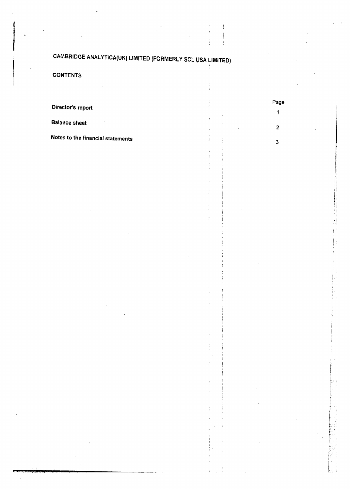## CAMBRIDGE ANAL YTICA(UK) LIMITED (FORMERLY SCL USA LIMITFD)

**CONTENTS** 

Director's report

Balance sheet

Notes to the financial statements

Page  $\mathbf{1}$ 

2

3

)

I  $\mathbf{r}$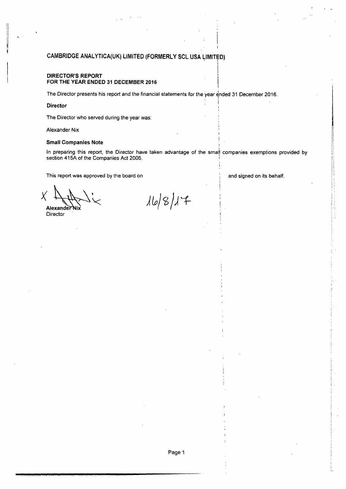#### CAMBRIDGE ANALYTICA(UK) LIMITED (FORMERLY SCL USA LIMITED)

#### DIRECTOR'S REPORT FOR THE YEAR ENDED 31 DECEMBER 2016

The Director presents his report and the financial statements for the year ended 31 December 2016.

#### Director

fl il

 $\ddot{\phantom{a}}$ 

The Director who served during the year was:

Alexander Nix

#### Small Companies Note

In preparing this report, the Director have taken advantage of the small companies exemptions provided by section 415A of the Companies Act 2006.

This report was approved by the board on

and signed on its behalf.

I

 $\mathbb{R} \times \mathbb{R}$ 

 $X \downarrow \downarrow \downarrow \downarrow$ Alexander

**Director** 

 $|16|8|17$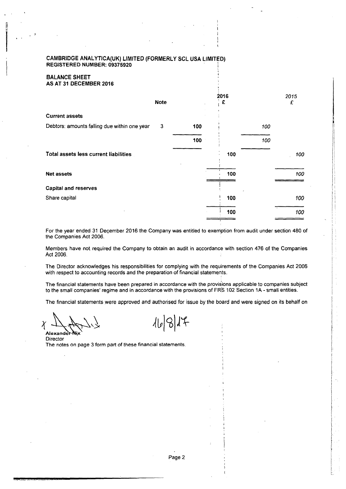#### CAMBRIDGE ANAL YTICA(UK) LIMITED (FORMERLY SCL USA LIMITED) REGISTERED NUMBER: 09375920

#### BALANCE SHEET AS AT 31 DECEMBER 2016

|                                              | <b>Note</b> |     | 2016<br>£ |     | 2015<br>£ |
|----------------------------------------------|-------------|-----|-----------|-----|-----------|
| <b>Current assets</b>                        |             |     |           |     |           |
| Debtors: amounts falling due within one year | 3           | 100 |           | 100 |           |
|                                              |             | 100 |           | 100 |           |
| Total assets less current liabilities        |             |     | 100       |     | 100       |
| <b>Net assets</b>                            |             |     | 100       |     | 100       |
| <b>Capital and reserves</b>                  |             |     |           |     |           |
| Share capital                                |             |     | 100       |     | 100       |
|                                              |             |     | 100       |     | 100       |

For the year ended 31 December 2016 the Company was entitled to exemption from audit under section 480 of the Companies Act 2006.

Members have not required the Company to obtain an audit in accordance with section 476 of the Companies Act 2006.

The Director acknowledges his responsibilities for complying with the requirements of the Companies Act 2006 with respect to accounting records and the preparation of financial statements.

The financial statements have been prepared in accordance with the provisions applicable to companies subject to the small companies' regime and in accordance with the provisions of FRS 102 Section 1A - small entities.

The financial statements were approved and authorised for issue by the board and were signed on its behalf on

<sup>1</sup>~ .1.-.. \,~ AI~\T Director

 $16917$ 

The notes on page 3 form part of these financial statements.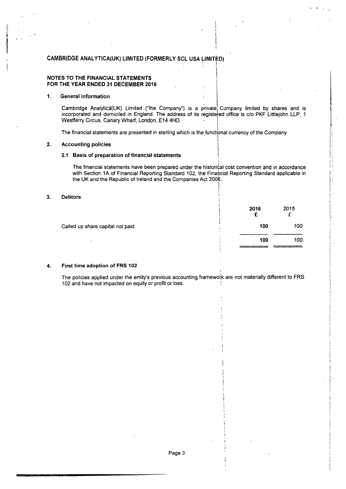#### CAMBRIDGE ANALYTICA(UK) LIMITED (FORMERLY SCL USA LIMITED)

#### NOTES TO THE FINANCIAL STATEMENTS FOR THE YEAR ENDED 31 DECEMBER 2016

#### 1. General information

Cambridge Analytica(UK) Limited ("the Company") is a private Company limited by shares and is incorporated and domiciled in England. The address of its registered office is c/o PKF Littlejohn LLP, 1 Westferry Circus, Canary Wharf, London, E14 4HD. !

.I

I, - '

I

I

is a set of the set of the set of the set of the set of the set of the set of the set of the set of the set of

The financial statements are presented in sterling which is the functional currency of the Company.

#### 2. Accounting policies 1

#### 2.1 Basis of preparation of financial statements

The financial statements have been prepared under the historical cost convention and in accordance with Section 1A of Financial Reporting Standard 102, the Financial Reporting Standard applicable in the UK and the Republic of Ireland and the Companies Aqt 2006. . I

#### 3. Debtors

|                                  | 2016<br>$\sim$ | 2015   |
|----------------------------------|----------------|--------|
| Called up share capital not paid | 100            | $-100$ |
|                                  | 100            | 100-   |
|                                  |                |        |

#### 4. First time adoption of FRS 102

The policies applied under the entity's previous accounting framework are not materially different to FRS 102 and have not impacted on equity or profit or loss.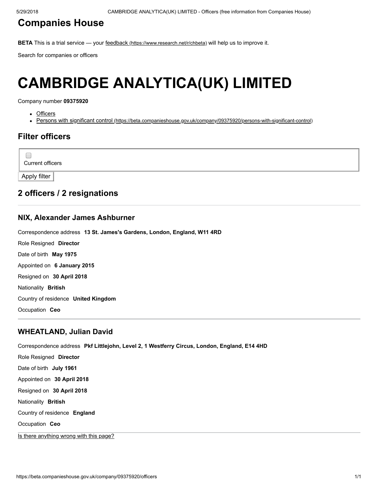### [Companies](https://beta.companieshouse.gov.uk/) House

BETA This is a trial service — your feedback [\(https://www.research.net/r/chbeta\)](https://www.research.net/r/chbeta) will help us to improve it.

Search for companies or officers

# CAMBRIDGE ANALYTICA(UK) LIMITED

Company number 09375920

- Officers
- Persons with significant control [\(https://beta.companieshouse.gov.uk/company/09375920/persons-with-significant-control\)](https://beta.companieshouse.gov.uk/company/09375920/persons-with-significant-control)

### Filter officers

Current officers

Apply filter

 $\Box$ 

#### 2 officers / 2 resignations

#### [NIX, Alexander James Ashburner](https://beta.companieshouse.gov.uk/officers/YEplkqBMfc6Rp3dbPs57pN3aqO4/appointments)

Correspondence address 13 St. James's Gardens, London, England, W11 4RD

Role Resigned Director Date of birth May 1975 Appointed on 6 January 2015 Resigned on 30 April 2018 Nationality British Country of residence United Kingdom Occupation Ceo

#### [WHEATLAND, Julian David](https://beta.companieshouse.gov.uk/officers/hvyCzVBNN2CA8PSiOQFLbwm8BGo/appointments)

Correspondence address Pkf Littlejohn, Level 2, 1 Westferry Circus, London, England, E14 4HD Role Resigned Director Date of birth July 1961 Appointed on 30 April 2018 Resigned on 30 April 2018 Nationality British Country of residence England Occupation Ceo

[Is there anything wrong with this page?](javascript:void(0);)